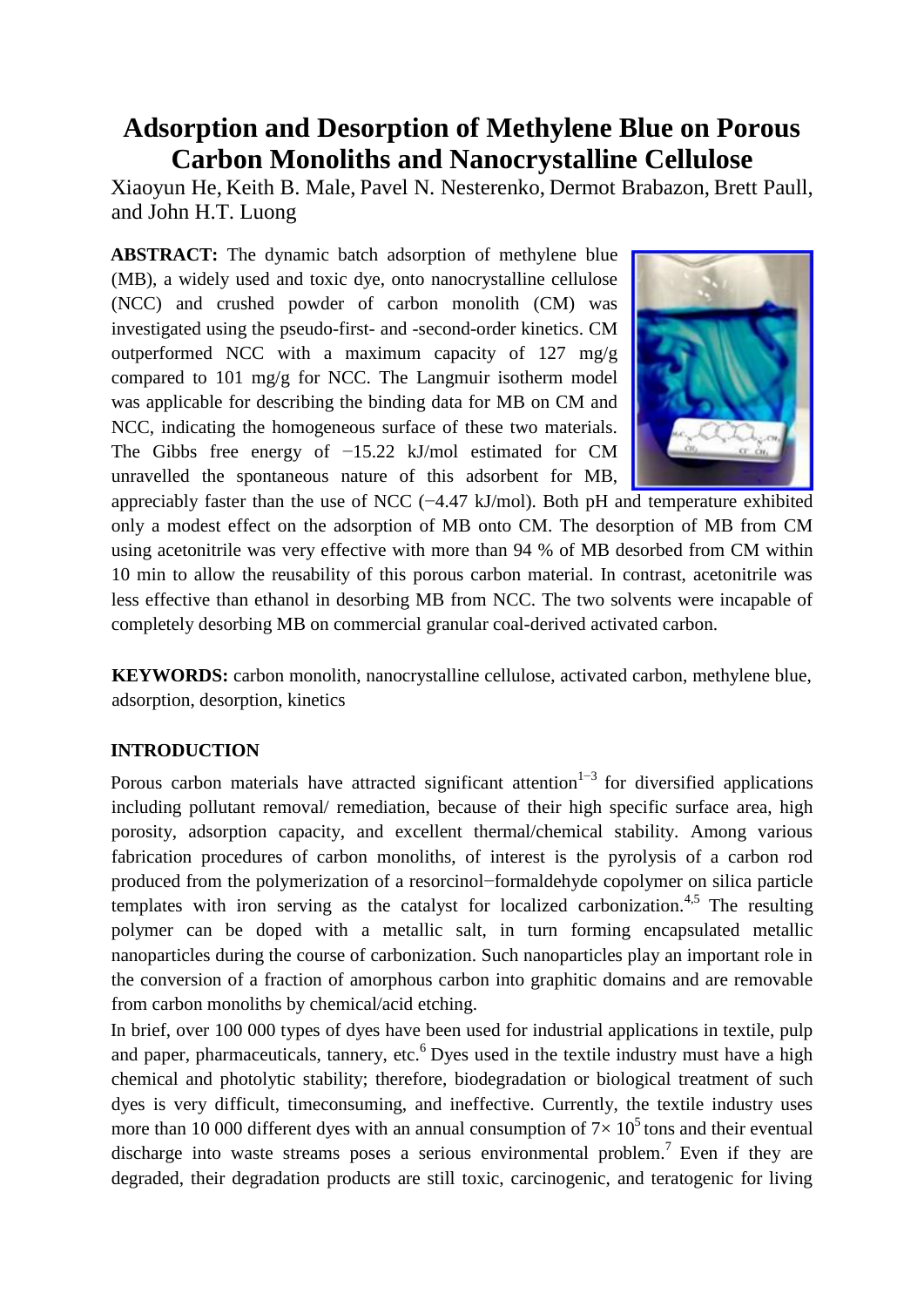# **Adsorption and Desorption of Methylene Blue on Porous Carbon Monoliths and Nanocrystalline Cellulose**

Xiaoyun He, Keith B. Male, Pavel N. Nesterenko, Dermot Brabazon, Brett Paull, and John H.T. Luong

**ABSTRACT:** The dynamic batch adsorption of methylene blue (MB), a widely used and toxic dye, onto nanocrystalline cellulose (NCC) and crushed powder of carbon monolith (CM) was investigated using the pseudo-first- and -second-order kinetics. CM outperformed NCC with a maximum capacity of 127 mg/g compared to 101 mg/g for NCC. The Langmuir isotherm model was applicable for describing the binding data for MB on CM and NCC, indicating the homogeneous surface of these two materials. The Gibbs free energy of −15.22 kJ/mol estimated for CM unravelled the spontaneous nature of this adsorbent for MB,



appreciably faster than the use of NCC (−4.47 kJ/mol). Both pH and temperature exhibited only a modest effect on the adsorption of MB onto CM. The desorption of MB from CM using acetonitrile was very effective with more than 94 % of MB desorbed from CM within 10 min to allow the reusability of this porous carbon material. In contrast, acetonitrile was less effective than ethanol in desorbing MB from NCC. The two solvents were incapable of completely desorbing MB on commercial granular coal-derived activated carbon.

**KEYWORDS:** carbon monolith, nanocrystalline cellulose, activated carbon, methylene blue, adsorption, desorption, kinetics

# **INTRODUCTION**

Porous carbon materials have attracted significant attention<sup>1-3</sup> for diversified applications including pollutant removal/ remediation, because of their high specific surface area, high porosity, adsorption capacity, and excellent thermal/chemical stability. Among various fabrication procedures of carbon monoliths, of interest is the pyrolysis of a carbon rod produced from the polymerization of a resorcinol−formaldehyde copolymer on silica particle templates with iron serving as the catalyst for localized carbonization.<sup>4,5</sup> The resulting polymer can be doped with a metallic salt, in turn forming encapsulated metallic nanoparticles during the course of carbonization. Such nanoparticles play an important role in the conversion of a fraction of amorphous carbon into graphitic domains and are removable from carbon monoliths by chemical/acid etching.

In brief, over 100 000 types of dyes have been used for industrial applications in textile, pulp and paper, pharmaceuticals, tannery, etc. $6$  Dyes used in the textile industry must have a high chemical and photolytic stability; therefore, biodegradation or biological treatment of such dyes is very difficult, timeconsuming, and ineffective. Currently, the textile industry uses more than 10 000 different dyes with an annual consumption of  $7 \times 10^5$  tons and their eventual discharge into waste streams poses a serious environmental problem.<sup>7</sup> Even if they are degraded, their degradation products are still toxic, carcinogenic, and teratogenic for living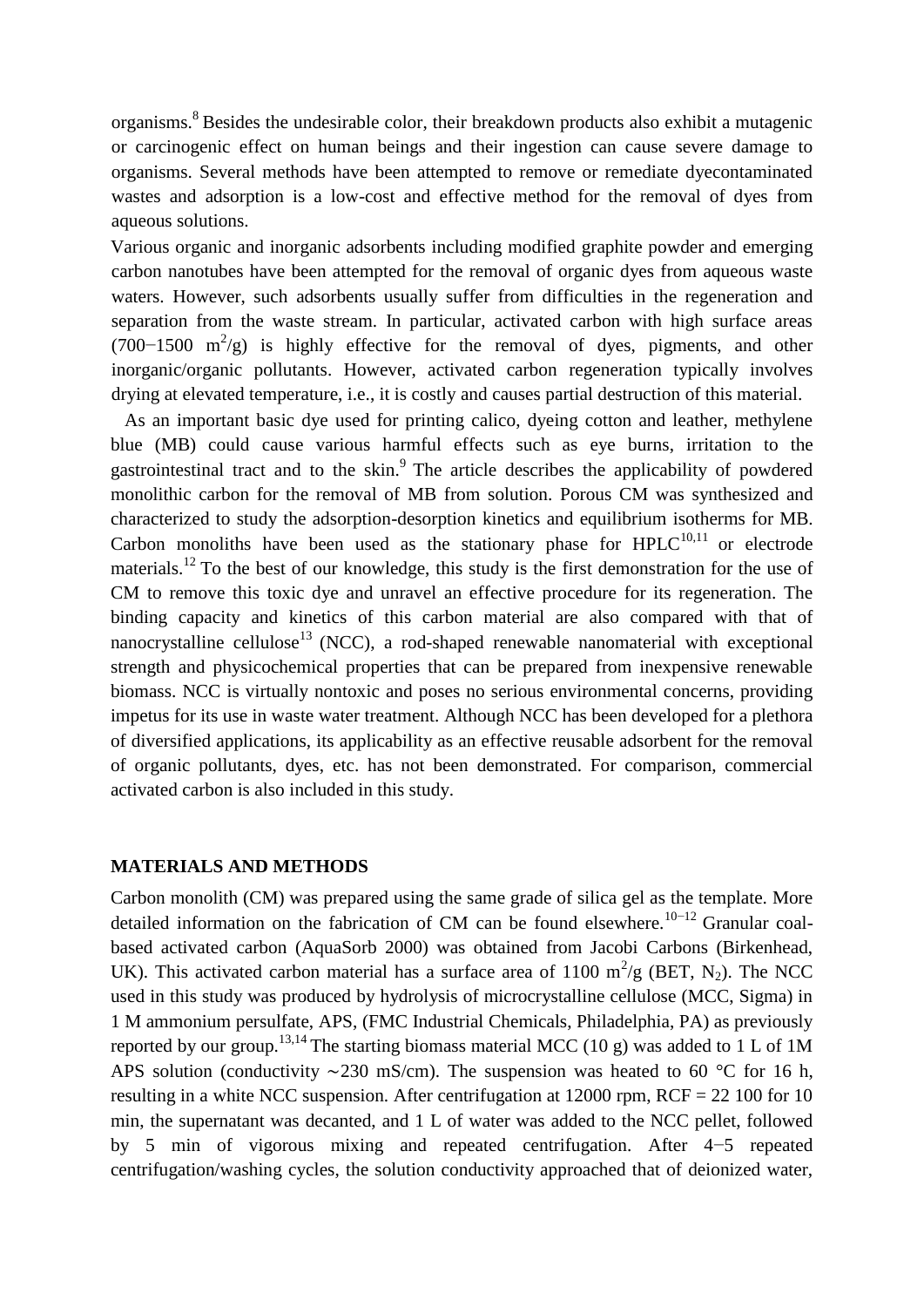organisms.<sup>8</sup> Besides the undesirable color, their breakdown products also exhibit a mutagenic or carcinogenic effect on human beings and their ingestion can cause severe damage to organisms. Several methods have been attempted to remove or remediate dyecontaminated wastes and adsorption is a low-cost and effective method for the removal of dyes from aqueous solutions.

Various organic and inorganic adsorbents including modified graphite powder and emerging carbon nanotubes have been attempted for the removal of organic dyes from aqueous waste waters. However, such adsorbents usually suffer from difficulties in the regeneration and separation from the waste stream. In particular, activated carbon with high surface areas  $(700-1500 \text{ m}^2/\text{g})$  is highly effective for the removal of dyes, pigments, and other inorganic/organic pollutants. However, activated carbon regeneration typically involves drying at elevated temperature, i.e., it is costly and causes partial destruction of this material.

As an important basic dye used for printing calico, dyeing cotton and leather, methylene blue (MB) could cause various harmful effects such as eye burns, irritation to the gastrointestinal tract and to the skin. $9$  The article describes the applicability of powdered monolithic carbon for the removal of MB from solution. Porous CM was synthesized and characterized to study the adsorption-desorption kinetics and equilibrium isotherms for MB. Carbon monoliths have been used as the stationary phase for  $HPLC^{10,11}$  or electrode materials.<sup>12</sup> To the best of our knowledge, this study is the first demonstration for the use of CM to remove this toxic dye and unravel an effective procedure for its regeneration. The binding capacity and kinetics of this carbon material are also compared with that of nanocrystalline cellulose<sup>13</sup> (NCC), a rod-shaped renewable nanomaterial with exceptional strength and physicochemical properties that can be prepared from inexpensive renewable biomass. NCC is virtually nontoxic and poses no serious environmental concerns, providing impetus for its use in waste water treatment. Although NCC has been developed for a plethora of diversified applications, its applicability as an effective reusable adsorbent for the removal of organic pollutants, dyes, etc. has not been demonstrated. For comparison, commercial activated carbon is also included in this study.

#### **MATERIALS AND METHODS**

Carbon monolith (CM) was prepared using the same grade of silica gel as the template. More detailed information on the fabrication of CM can be found elsewhere.<sup>10−12</sup> Granular coalbased activated carbon (AquaSorb 2000) was obtained from Jacobi Carbons (Birkenhead, UK). This activated carbon material has a surface area of 1100  $\text{m}^2/\text{g}$  (BET, N<sub>2</sub>). The NCC used in this study was produced by hydrolysis of microcrystalline cellulose (MCC, Sigma) in 1 M ammonium persulfate, APS, (FMC Industrial Chemicals, Philadelphia, PA) as previously reported by our group.<sup>13,14</sup> The starting biomass material MCC (10 g) was added to 1 L of 1M APS solution (conductivity  $\sim$ 230 mS/cm). The suspension was heated to 60 °C for 16 h, resulting in a white NCC suspension. After centrifugation at  $12000$  rpm, RCF = 22 100 for 10 min, the supernatant was decanted, and 1 L of water was added to the NCC pellet, followed by 5 min of vigorous mixing and repeated centrifugation. After 4−5 repeated centrifugation/washing cycles, the solution conductivity approached that of deionized water,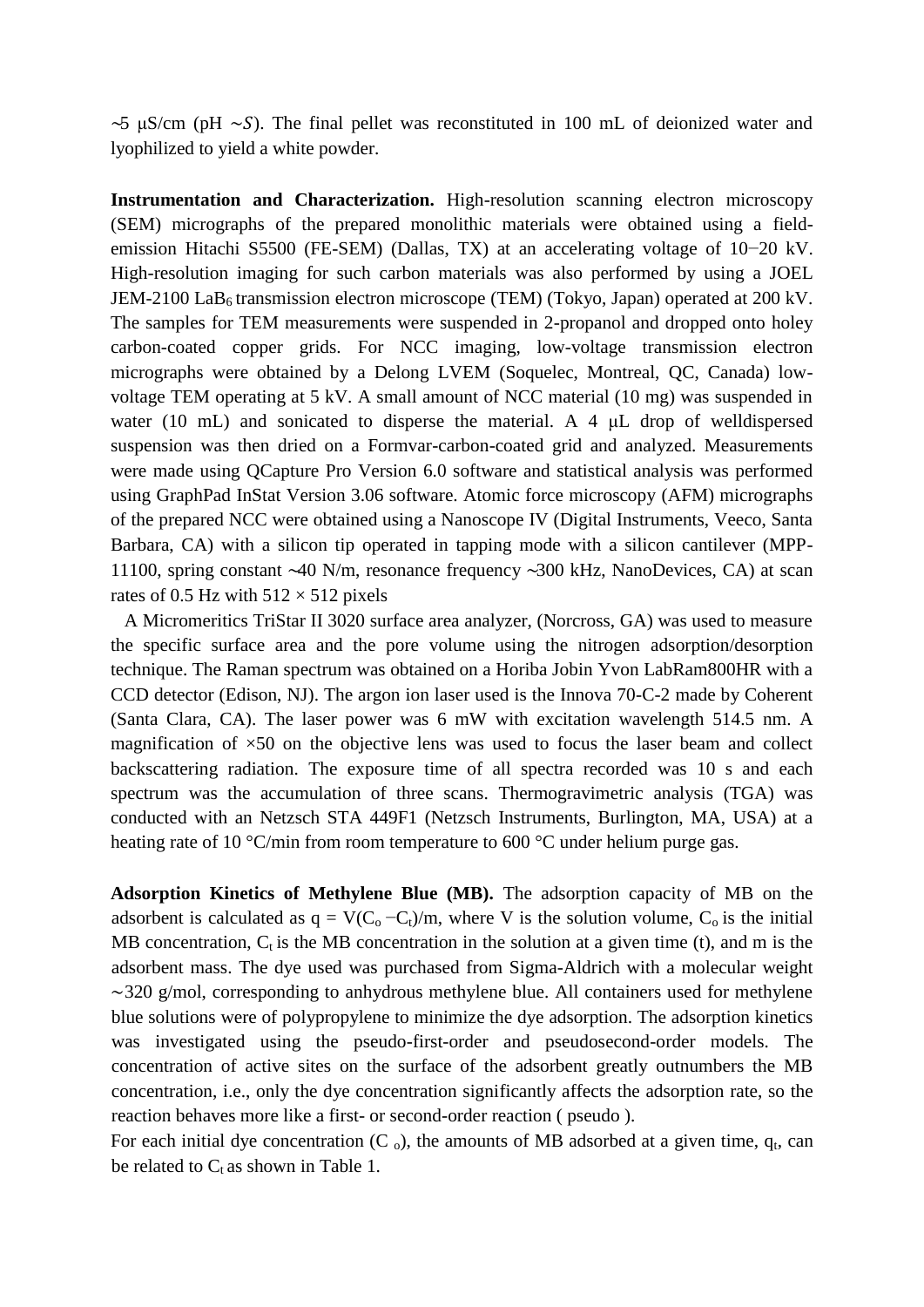$\sim$ 5 μS/cm (pH  $\sim$ S). The final pellet was reconstituted in 100 mL of deionized water and lyophilized to yield a white powder.

**Instrumentation and Characterization.** High-resolution scanning electron microscopy (SEM) micrographs of the prepared monolithic materials were obtained using a fieldemission Hitachi S5500 (FE-SEM) (Dallas, TX) at an accelerating voltage of 10−20 kV. High-resolution imaging for such carbon materials was also performed by using a JOEL JEM-2100 LaB6 transmission electron microscope (TEM) (Tokyo, Japan) operated at 200 kV. The samples for TEM measurements were suspended in 2-propanol and dropped onto holey carbon-coated copper grids. For NCC imaging, low-voltage transmission electron micrographs were obtained by a Delong LVEM (Soquelec, Montreal, QC, Canada) lowvoltage TEM operating at 5 kV. A small amount of NCC material (10 mg) was suspended in water (10 mL) and sonicated to disperse the material. A 4 μL drop of welldispersed suspension was then dried on a Formvar-carbon-coated grid and analyzed. Measurements were made using QCapture Pro Version 6.0 software and statistical analysis was performed using GraphPad InStat Version 3.06 software. Atomic force microscopy (AFM) micrographs of the prepared NCC were obtained using a Nanoscope IV (Digital Instruments, Veeco, Santa Barbara, CA) with a silicon tip operated in tapping mode with a silicon cantilever (MPP-11100, spring constant ∼40 N/m, resonance frequency ∼300 kHz, NanoDevices, CA) at scan rates of 0.5 Hz with  $512 \times 512$  pixels

A Micromeritics TriStar II 3020 surface area analyzer, (Norcross, GA) was used to measure the specific surface area and the pore volume using the nitrogen adsorption/desorption technique. The Raman spectrum was obtained on a Horiba Jobin Yvon LabRam800HR with a CCD detector (Edison, NJ). The argon ion laser used is the Innova 70-C-2 made by Coherent (Santa Clara, CA). The laser power was 6 mW with excitation wavelength 514.5 nm. A magnification of  $\times$ 50 on the objective lens was used to focus the laser beam and collect backscattering radiation. The exposure time of all spectra recorded was 10 s and each spectrum was the accumulation of three scans. Thermogravimetric analysis (TGA) was conducted with an Netzsch STA 449F1 (Netzsch Instruments, Burlington, MA, USA) at a heating rate of 10 °C/min from room temperature to 600 °C under helium purge gas.

**Adsorption Kinetics of Methylene Blue (MB).** The adsorption capacity of MB on the adsorbent is calculated as  $q = V(C_0 - C_t)/m$ , where V is the solution volume,  $C_0$  is the initial MB concentration,  $C_t$  is the MB concentration in the solution at a given time (t), and m is the adsorbent mass. The dye used was purchased from Sigma-Aldrich with a molecular weight ∼320 g/mol, corresponding to anhydrous methylene blue. All containers used for methylene blue solutions were of polypropylene to minimize the dye adsorption. The adsorption kinetics was investigated using the pseudo-first-order and pseudosecond-order models. The concentration of active sites on the surface of the adsorbent greatly outnumbers the MB concentration, i.e., only the dye concentration significantly affects the adsorption rate, so the reaction behaves more like a first- or second-order reaction ( pseudo ).

For each initial dye concentration  $(C_0)$ , the amounts of MB adsorbed at a given time,  $q_t$ , can be related to  $C_t$  as shown in Table 1.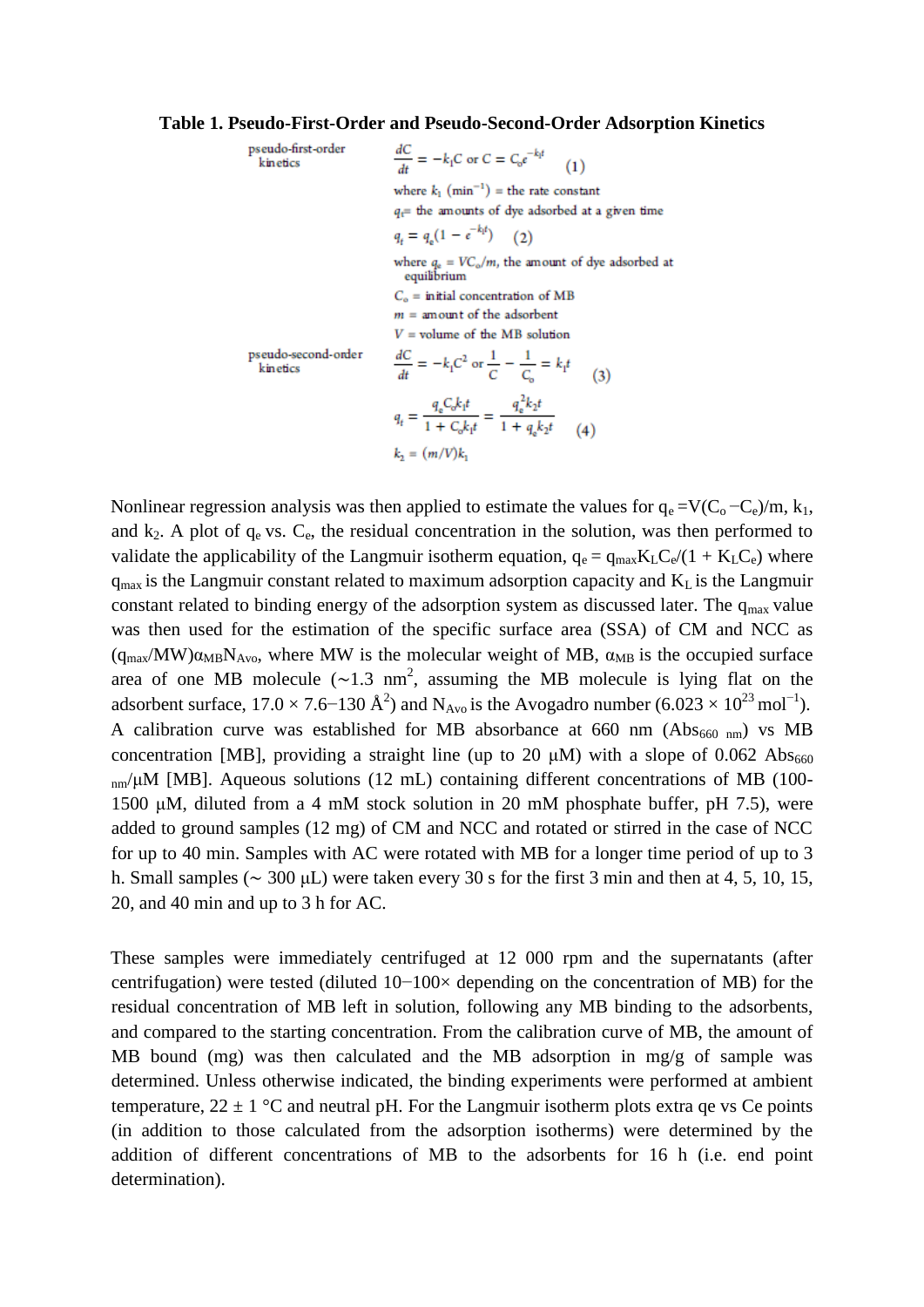#### **Table 1. Pseudo-First-Order and Pseudo-Second-Order Adsorption Kinetics**

pseudo-first-order  $\frac{dC}{dt} = -k_1 C \text{ or } C = C_0 e^{-k_1 t}$ kinetics  $(1)$ where  $k_1$  (min<sup>-1</sup>) = the rate constant  $q_f$ = the amounts of dye adsorbed at a given time  $q_i = q_i(1 - e^{-k_1t})$  (2) where  $q_e = VC_o/m$ , the amount of dye adsorbed at equilibrium  $C<sub>o</sub>$  = initial concentration of MB  $m =$  amount of the adsorbent  $V =$  volume of the MB solution pseudo-second-order  $\frac{dC}{dt} = -k_1 C^2$  or  $\frac{1}{C} - \frac{1}{C} = k_1 t$ kinetics  $(3)$  $q_t = \frac{q_e C_0 k_1 t}{1 + C_0 k_1 t} = \frac{q_e^2 k_2 t}{1 + q_e k_2 t}$  (4)  $k_2 = (m/V)k_1$ 

Nonlinear regression analysis was then applied to estimate the values for  $q_e = V(C_o - C_e)/m$ ,  $k_1$ , and  $k_2$ . A plot of  $q_e$  vs.  $C_e$ , the residual concentration in the solution, was then performed to validate the applicability of the Langmuir isotherm equation,  $q_e = q_{max}K_LC_e/(1 + K_LC_e)$  where  $q<sub>max</sub>$  is the Langmuir constant related to maximum adsorption capacity and  $K<sub>L</sub>$  is the Langmuir constant related to binding energy of the adsorption system as discussed later. The  $q_{max}$  value was then used for the estimation of the specific surface area (SSA) of CM and NCC as  $(q_{max}/MW)\alpha_{MB}N_{Avo}$ , where MW is the molecular weight of MB,  $\alpha_{MB}$  is the occupied surface area of one MB molecule ( $\sim$ 1.3 nm<sup>2</sup>, assuming the MB molecule is lying flat on the adsorbent surface,  $17.0 \times 7.6 - 130 \text{ Å}^2$ ) and N<sub>Avo</sub> is the Avogadro number  $(6.023 \times 10^{23} \text{ mol}^{-1})$ . A calibration curve was established for MB absorbance at 660 nm ( $Abs<sub>660 nm</sub>$ ) vs MB concentration [MB], providing a straight line (up to 20  $\mu$ M) with a slope of 0.062 Abs<sub>660</sub>  $_{nm}/\mu$ M [MB]. Aqueous solutions (12 mL) containing different concentrations of MB (100-1500 μM, diluted from a 4 mM stock solution in 20 mM phosphate buffer, pH 7.5), were added to ground samples (12 mg) of CM and NCC and rotated or stirred in the case of NCC for up to 40 min. Samples with AC were rotated with MB for a longer time period of up to 3 h. Small samples ( $\sim$  300 µL) were taken every 30 s for the first 3 min and then at 4, 5, 10, 15, 20, and 40 min and up to 3 h for AC.

These samples were immediately centrifuged at 12 000 rpm and the supernatants (after centrifugation) were tested (diluted 10−100× depending on the concentration of MB) for the residual concentration of MB left in solution, following any MB binding to the adsorbents, and compared to the starting concentration. From the calibration curve of MB, the amount of MB bound (mg) was then calculated and the MB adsorption in mg/g of sample was determined. Unless otherwise indicated, the binding experiments were performed at ambient temperature,  $22 \pm 1$  °C and neutral pH. For the Langmuir isotherm plots extra qe vs Ce points (in addition to those calculated from the adsorption isotherms) were determined by the addition of different concentrations of MB to the adsorbents for 16 h (i.e. end point determination).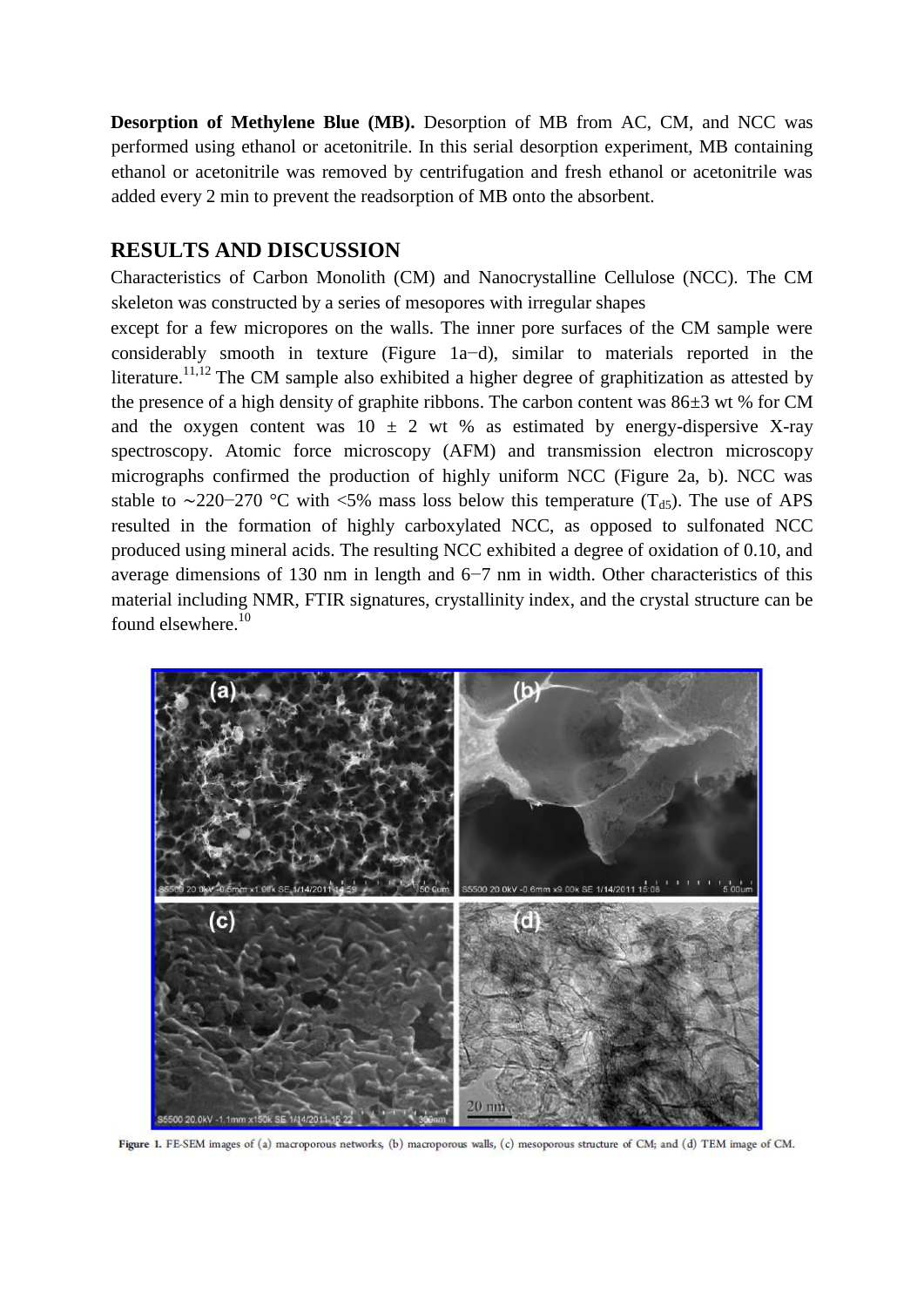**Desorption of Methylene Blue (MB).** Desorption of MB from AC, CM, and NCC was performed using ethanol or acetonitrile. In this serial desorption experiment, MB containing ethanol or acetonitrile was removed by centrifugation and fresh ethanol or acetonitrile was added every 2 min to prevent the readsorption of MB onto the absorbent.

# **RESULTS AND DISCUSSION**

Characteristics of Carbon Monolith (CM) and Nanocrystalline Cellulose (NCC). The CM skeleton was constructed by a series of mesopores with irregular shapes

except for a few micropores on the walls. The inner pore surfaces of the CM sample were considerably smooth in texture (Figure 1a−d), similar to materials reported in the literature.<sup>11,12</sup> The CM sample also exhibited a higher degree of graphitization as attested by the presence of a high density of graphite ribbons. The carbon content was  $86\pm3$  wt % for CM and the oxygen content was  $10 \pm 2$  wt % as estimated by energy-dispersive X-ray spectroscopy. Atomic force microscopy (AFM) and transmission electron microscopy micrographs confirmed the production of highly uniform NCC (Figure 2a, b). NCC was stable to ~220−270 °C with <5% mass loss below this temperature (T<sub>d5</sub>). The use of APS resulted in the formation of highly carboxylated NCC, as opposed to sulfonated NCC produced using mineral acids. The resulting NCC exhibited a degree of oxidation of 0.10, and average dimensions of 130 nm in length and 6−7 nm in width. Other characteristics of this material including NMR, FTIR signatures, crystallinity index, and the crystal structure can be found elsewhere. $10$ 



Figure 1. FE-SEM images of (a) macroporous networks, (b) macroporous walls, (c) mesoporous structure of CM; and (d) TEM image of CM.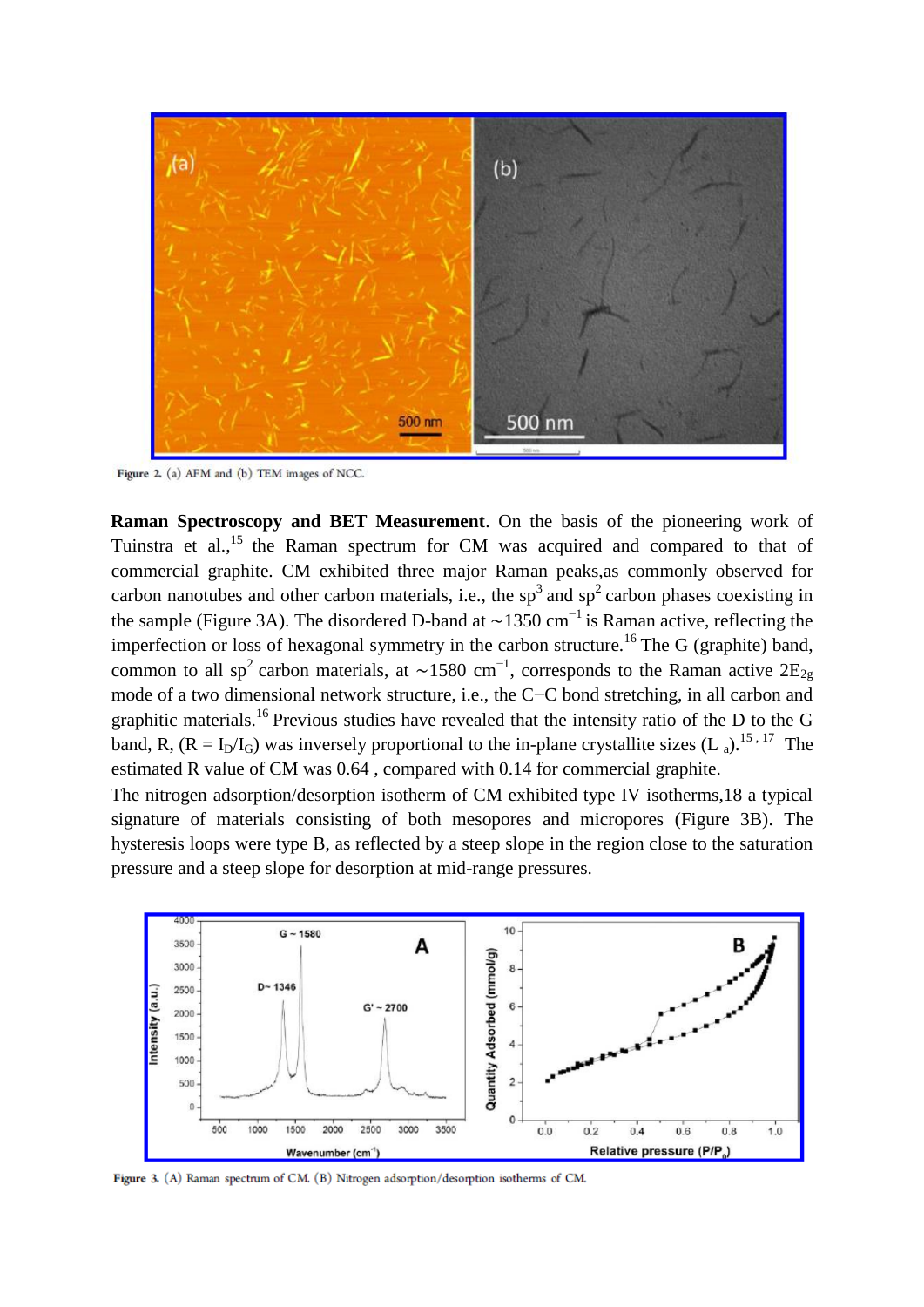

Figure 2. (a) AFM and (b) TEM images of NCC.

**Raman Spectroscopy and BET Measurement**. On the basis of the pioneering work of Tuinstra et al.,<sup>15</sup> the Raman spectrum for CM was acquired and compared to that of commercial graphite. CM exhibited three major Raman peaks,as commonly observed for carbon nanotubes and other carbon materials, i.e., the  $sp<sup>3</sup>$  and  $sp<sup>2</sup>$  carbon phases coexisting in the sample (Figure 3A). The disordered D-band at  $\sim$ 1350 cm<sup>-1</sup> is Raman active, reflecting the imperfection or loss of hexagonal symmetry in the carbon structure.<sup>16</sup> The G (graphite) band, common to all sp<sup>2</sup> carbon materials, at ~1580 cm<sup>-1</sup>, corresponds to the Raman active  $2E_{2g}$ mode of a two dimensional network structure, i.e., the C−C bond stretching, in all carbon and graphitic materials.<sup>16</sup> Previous studies have revealed that the intensity ratio of the D to the G band, R,  $(R = I_D/I_G)$  was inversely proportional to the in-plane crystallite sizes  $(L_a)$ .<sup>15, 17</sup> The estimated R value of CM was 0.64 , compared with 0.14 for commercial graphite.

The nitrogen adsorption/desorption isotherm of CM exhibited type IV isotherms,18 a typical signature of materials consisting of both mesopores and micropores (Figure 3B). The hysteresis loops were type B, as reflected by a steep slope in the region close to the saturation pressure and a steep slope for desorption at mid-range pressures.



Figure 3. (A) Raman spectrum of CM. (B) Nitrogen adsorption/desorption isotherms of CM.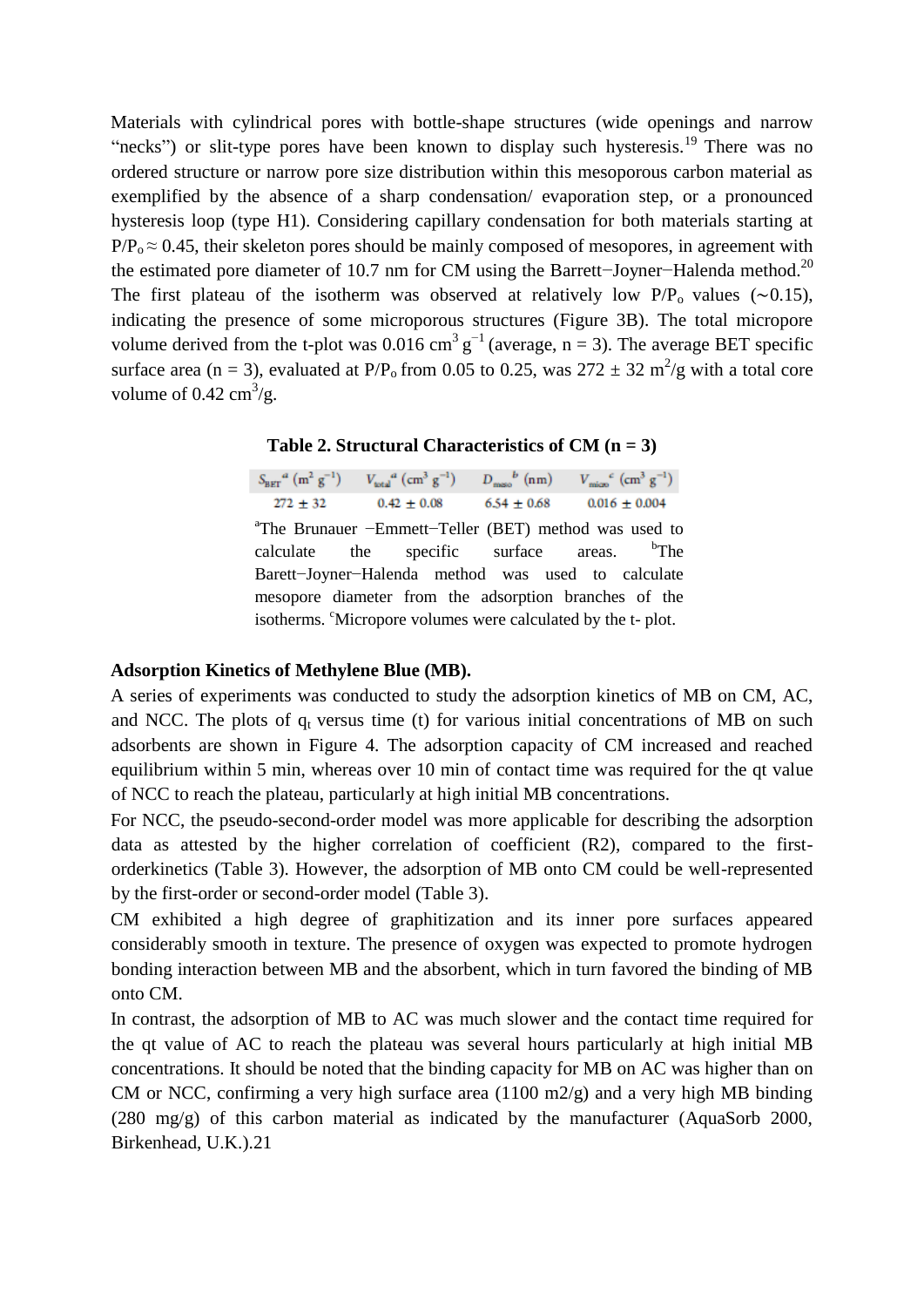Materials with cylindrical pores with bottle-shape structures (wide openings and narrow "necks") or slit-type pores have been known to display such hysteresis.<sup>19</sup> There was no ordered structure or narrow pore size distribution within this mesoporous carbon material as exemplified by the absence of a sharp condensation/ evaporation step, or a pronounced hysteresis loop (type H1). Considering capillary condensation for both materials starting at  $P/P_0 \approx 0.45$ , their skeleton pores should be mainly composed of mesopores, in agreement with the estimated pore diameter of 10.7 nm for CM using the Barrett-Joyner–Halenda method.<sup>20</sup> The first plateau of the isotherm was observed at relatively low P/P<sub>o</sub> values ( $\sim$ 0.15), indicating the presence of some microporous structures (Figure 3B). The total micropore volume derived from the t-plot was 0.016 cm<sup>3</sup> g<sup>-1</sup> (average, n = 3). The average BET specific surface area (n = 3), evaluated at P/P<sub>o</sub> from 0.05 to 0.25, was  $272 \pm 32$  m<sup>2</sup>/g with a total core volume of  $0.42 \text{ cm}^3/\text{g}$ .

**Table 2. Structural Characteristics of CM (n = 3)**

| $S_{\rm BET}^{\  \  \, a}$ (m <sup>2</sup> g <sup>-1</sup> )      |  |                 | $V_{\text{total}}^a$ (cm <sup>3</sup> g <sup>-1</sup> ) $D_{\text{mass}}^b$ (nm) $V_{\text{micro}}^c$ (cm <sup>3</sup> g <sup>-1</sup> ) |  |  |  |
|-------------------------------------------------------------------|--|-----------------|------------------------------------------------------------------------------------------------------------------------------------------|--|--|--|
| $272 \pm 32$                                                      |  | $0.42 \pm 0.08$ | $6.54 \pm 0.68$ 0.016 $\pm$ 0.004                                                                                                        |  |  |  |
| <sup>a</sup> The Brunauer -Emmett-Teller (BET) method was used to |  |                 |                                                                                                                                          |  |  |  |
|                                                                   |  |                 | calculate the specific surface areas. <sup>b</sup> The                                                                                   |  |  |  |
|                                                                   |  |                 | Barett-Joyner-Halenda method was used to calculate                                                                                       |  |  |  |
|                                                                   |  |                 | mesopore diameter from the adsorption branches of the                                                                                    |  |  |  |
| isotherms. "Micropore volumes were calculated by the t- plot.     |  |                 |                                                                                                                                          |  |  |  |

#### **Adsorption Kinetics of Methylene Blue (MB).**

A series of experiments was conducted to study the adsorption kinetics of MB on CM, AC, and NCC. The plots of  $q_t$  versus time (t) for various initial concentrations of MB on such adsorbents are shown in Figure 4. The adsorption capacity of CM increased and reached equilibrium within 5 min, whereas over 10 min of contact time was required for the qt value of NCC to reach the plateau, particularly at high initial MB concentrations.

For NCC, the pseudo-second-order model was more applicable for describing the adsorption data as attested by the higher correlation of coefficient (R2), compared to the firstorderkinetics (Table 3). However, the adsorption of MB onto CM could be well-represented by the first-order or second-order model (Table 3).

CM exhibited a high degree of graphitization and its inner pore surfaces appeared considerably smooth in texture. The presence of oxygen was expected to promote hydrogen bonding interaction between MB and the absorbent, which in turn favored the binding of MB onto CM.

In contrast, the adsorption of MB to AC was much slower and the contact time required for the qt value of AC to reach the plateau was several hours particularly at high initial MB concentrations. It should be noted that the binding capacity for MB on AC was higher than on CM or NCC, confirming a very high surface area (1100 m2/g) and a very high MB binding (280 mg/g) of this carbon material as indicated by the manufacturer (AquaSorb 2000, Birkenhead, U.K.).21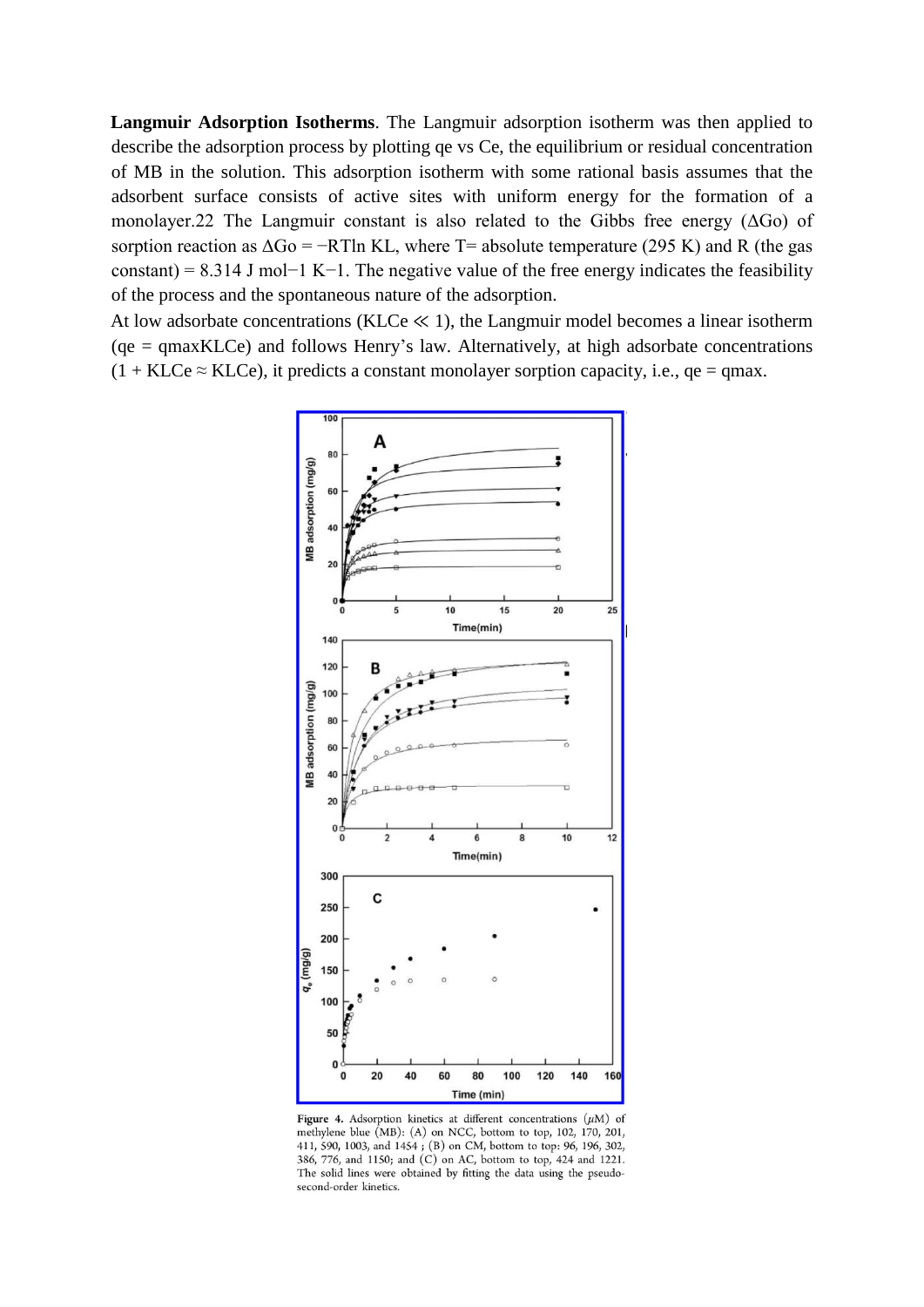**Langmuir Adsorption Isotherms**. The Langmuir adsorption isotherm was then applied to describe the adsorption process by plotting qe vs Ce, the equilibrium or residual concentration of MB in the solution. This adsorption isotherm with some rational basis assumes that the adsorbent surface consists of active sites with uniform energy for the formation of a monolayer.22 The Langmuir constant is also related to the Gibbs free energy (ΔGo) of sorption reaction as  $\Delta G$ <sup>o</sup> = −RTln KL, where T= absolute temperature (295 K) and R (the gas constant) = 8.314 J mol−1 K−1. The negative value of the free energy indicates the feasibility of the process and the spontaneous nature of the adsorption.

At low adsorbate concentrations (KLCe  $\ll$  1), the Langmuir model becomes a linear isotherm  $(qe = qmaxKLCe)$  and follows Henry's law. Alternatively, at high adsorbate concentrations  $(1 + KLCe \approx KLCe)$ , it predicts a constant monolayer sorption capacity, i.e., qe = qmax.



Figure 4. Adsorption kinetics at different concentrations  $(\mu M)$  of methylene blue (MB): (A) on NCC, bottom to top, 102, 170, 201, 411, 590, 1003, and 1454; (B) on CM, bottom to top: 96, 196, 302, 386, 776, and 1150; and (C) on AC, bottom to top, 424 and 1221. The solid lines were obtained by fitting the data using the pseudosecond-order kinetics.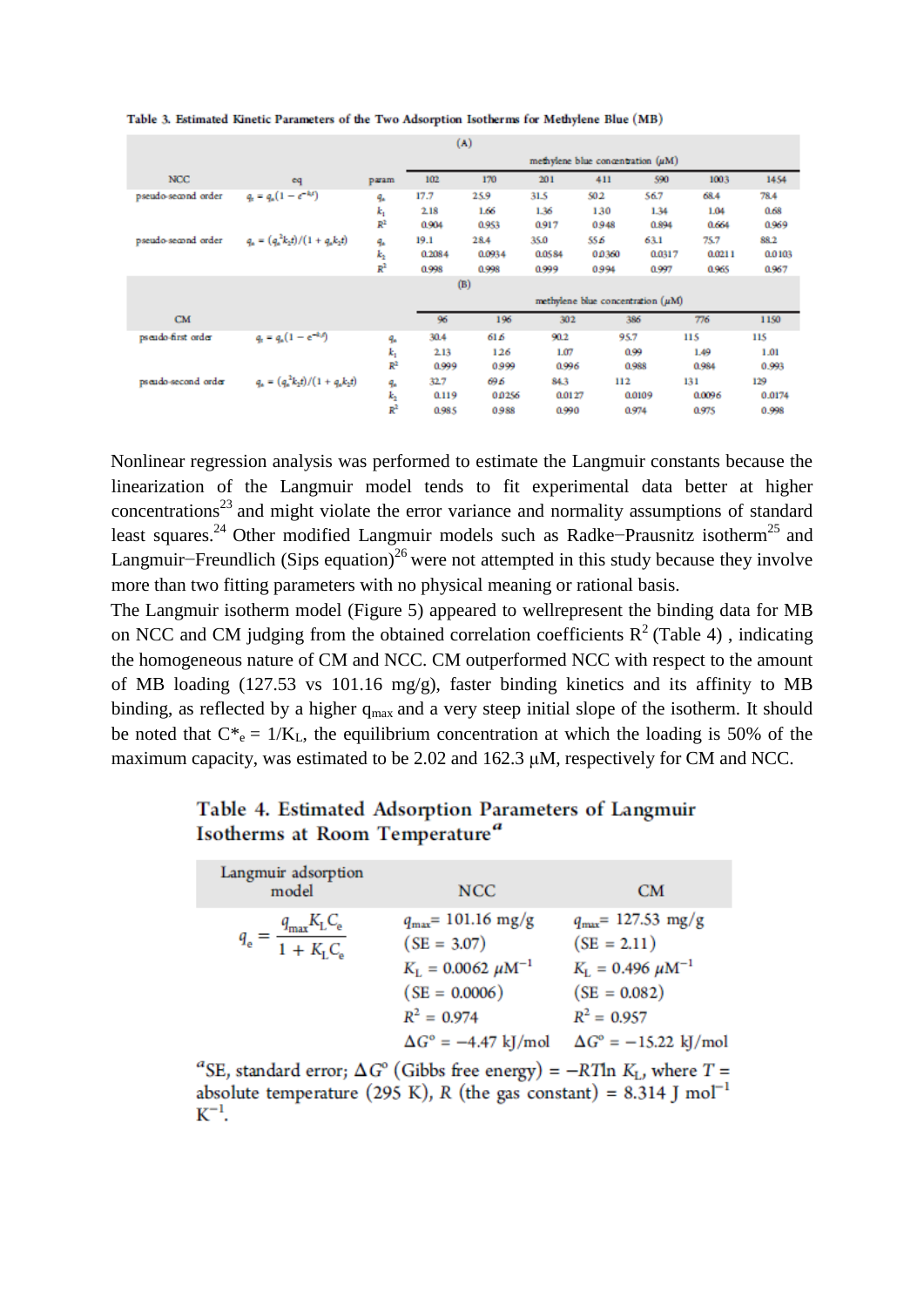|                      |                                       |                |                                        | (A)                                    |        |        |        |        |        |
|----------------------|---------------------------------------|----------------|----------------------------------------|----------------------------------------|--------|--------|--------|--------|--------|
|                      |                                       |                | methylene blue concentration $(\mu M)$ |                                        |        |        |        |        |        |
| <b>NCC</b>           | eq                                    | param          | 102                                    | 170                                    | 201    | 411    | 590    | 1003   | 1454   |
| pseudo-second order  | $q_t = q_s(1 - e^{-kt})$              | q,             | 17.7                                   | 25.9                                   | 31.5   | 50.2   | 56.7   | 68.4   | 78.4   |
|                      |                                       | k,             | 2.18                                   | 1.66                                   | 1.36   | 1.30   | 1.34   | 1.04   | 0.68   |
|                      |                                       | R <sup>2</sup> | 0.904                                  | 0.953                                  | 0.917  | 0.948  | 0.894  | 0.664  | 0.969  |
| pseudo-second order  | $q_a = (q_a^2 k_2 t)/(1 + q_a k_2 t)$ | q,             | 19.1                                   | 28.4                                   | 35.0   | 55.6   | 63.1   | 75.7   | 88.2   |
|                      |                                       | k,             | 0.2084                                 | 0.0934                                 | 0.0584 | 0.0360 | 0.0317 | 0.0211 | 0.0103 |
|                      |                                       | R <sup>2</sup> | 0.998                                  | 0.998                                  | 0.999  | 0.994  | 0.997  | 0.965  | 0.967  |
|                      |                                       |                |                                        | (B)                                    |        |        |        |        |        |
|                      |                                       |                |                                        | methylene blue concentration $(\mu M)$ |        |        |        |        |        |
| CM                   |                                       |                | 96                                     | 196                                    | 302    |        | 386    | 776    | 1150   |
| pseudo-first order   | $q_t = q_s(1 - e^{-k\phi})$           | q,             | 30.4                                   | 61.6                                   | 90.2   | 95.7   |        | 115    | 115    |
|                      |                                       | k,             | 2.13                                   | 126                                    | 1.07   |        | 0.99   | 1.49   | 1.01   |
|                      |                                       | R <sup>2</sup> | 0.999                                  | 0.999                                  | 0.996  |        | 0.988  | 0.984  | 0.993  |
| ps cudo-second order | $q_a = (q_a^2 k_2 t)/(1 + q_a k_2 t)$ | q,             | 327                                    | 69.6                                   | 84.3   | 112    |        | 131    | 129    |
|                      |                                       | $\mathbf{k}_2$ | 0.119                                  | 0.0256                                 | 0.0127 |        | 0.0109 | 0.0096 | 0.0174 |
|                      |                                       | $R^2$          | 0.985                                  | 0.988                                  | 0.990  |        | 0.974  | 0.975  | 0.998  |

Table 3. Estimated Kinetic Parameters of the Two Adsorption Isotherms for Methylene Blue (MB)

Nonlinear regression analysis was performed to estimate the Langmuir constants because the linearization of the Langmuir model tends to fit experimental data better at higher concentrations<sup>23</sup> and might violate the error variance and normality assumptions of standard least squares.<sup>24</sup> Other modified Langmuir models such as Radke–Prausnitz isotherm<sup>25</sup> and Langmuir–Freundlich (Sips equation)<sup>26</sup> were not attempted in this study because they involve more than two fitting parameters with no physical meaning or rational basis.

The Langmuir isotherm model (Figure 5) appeared to wellrepresent the binding data for MB on NCC and CM judging from the obtained correlation coefficients  $R^2$  (Table 4), indicating the homogeneous nature of CM and NCC. CM outperformed NCC with respect to the amount of MB loading (127.53 vs 101.16 mg/g), faster binding kinetics and its affinity to MB binding, as reflected by a higher  $q_{max}$  and a very steep initial slope of the isotherm. It should be noted that  $C^*_{\rm e} = 1/K_{\rm L}$ , the equilibrium concentration at which the loading is 50% of the maximum capacity, was estimated to be 2.02 and 162.3 μM, respectively for CM and NCC.

# Table 4. Estimated Adsorption Parameters of Langmuir Isotherms at Room Temperature<sup>a</sup>

| Langmuir adsorption<br>model                       | <b>NCC</b>                                                                                                                                                    | CМ                                                                                                                                                               |  |  |
|----------------------------------------------------|---------------------------------------------------------------------------------------------------------------------------------------------------------------|------------------------------------------------------------------------------------------------------------------------------------------------------------------|--|--|
| $q_e = \frac{q_{\text{max}} K_L C_e}{1 + K_L C_e}$ | $q_{\text{max}}$ = 101.16 mg/g<br>$(SE = 3.07)$<br>$K_{\rm L} = 0.0062 \ \mu M^{-1}$<br>$(SE = 0.0006)$<br>$R^2 = 0.974$<br>$\Delta G^{\circ} = -4.47$ kJ/mol | $q_{\text{max}}$ = 127.53 mg/g<br>$(SE = 2.11)$<br>$K_{\rm L} = 0.496 \ \mu \rm M^{-1}$<br>$(SE = 0.082)$<br>$R^2 = 0.957$<br>$\Delta G^{\circ} = -15.22$ kJ/mol |  |  |

<sup>a</sup>SE, standard error;  $\Delta G^{\circ}$  (Gibbs free energy) = -RTln  $K_{\rm L}$ , where T = absolute temperature (295 K), R (the gas constant) = 8.314 J mol<sup>-1</sup>  $K^{-1}$ .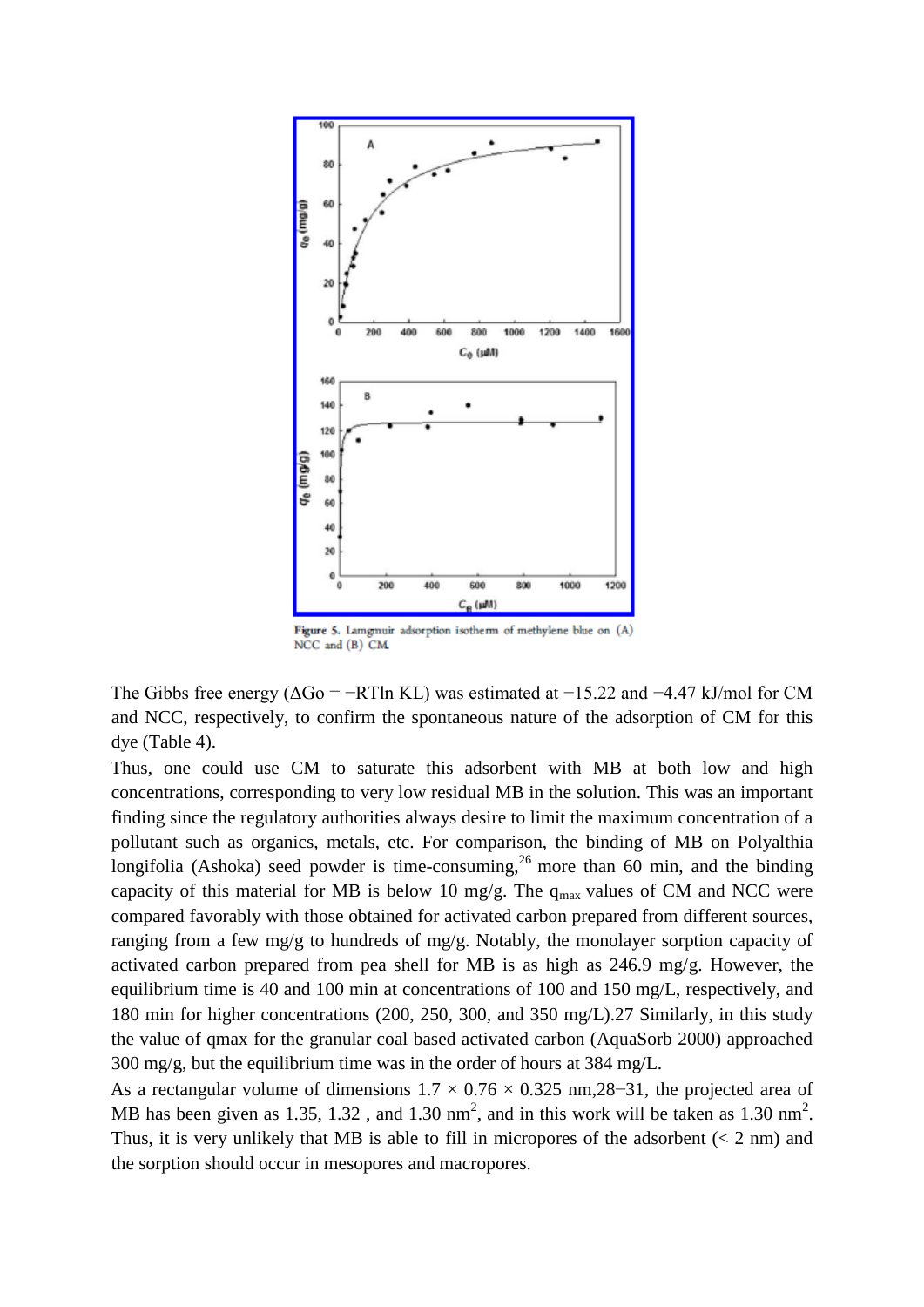

Figure 5. Lamgmuir adsorption isotherm of methylene blue on (A) NCC and (B) CM

The Gibbs free energy ( $\Delta$ Go = −RTln KL) was estimated at −15.22 and −4.47 kJ/mol for CM and NCC, respectively, to confirm the spontaneous nature of the adsorption of CM for this dye (Table 4).

Thus, one could use CM to saturate this adsorbent with MB at both low and high concentrations, corresponding to very low residual MB in the solution. This was an important finding since the regulatory authorities always desire to limit the maximum concentration of a pollutant such as organics, metals, etc. For comparison, the binding of MB on Polyalthia longifolia (Ashoka) seed powder is time-consuming,  $2^6$  more than 60 min, and the binding capacity of this material for MB is below 10 mg/g. The  $q_{max}$  values of CM and NCC were compared favorably with those obtained for activated carbon prepared from different sources, ranging from a few mg/g to hundreds of mg/g. Notably, the monolayer sorption capacity of activated carbon prepared from pea shell for MB is as high as 246.9 mg/g. However, the equilibrium time is 40 and 100 min at concentrations of 100 and 150 mg/L, respectively, and 180 min for higher concentrations (200, 250, 300, and 350 mg/L).27 Similarly, in this study the value of qmax for the granular coal based activated carbon (AquaSorb 2000) approached 300 mg/g, but the equilibrium time was in the order of hours at 384 mg/L.

As a rectangular volume of dimensions  $1.7 \times 0.76 \times 0.325$  nm,28–31, the projected area of MB has been given as 1.35, 1.32, and 1.30  $nm^2$ , and in this work will be taken as 1.30  $nm^2$ . Thus, it is very unlikely that MB is able to fill in micropores of the adsorbent  $(< 2 \text{ nm})$  and the sorption should occur in mesopores and macropores.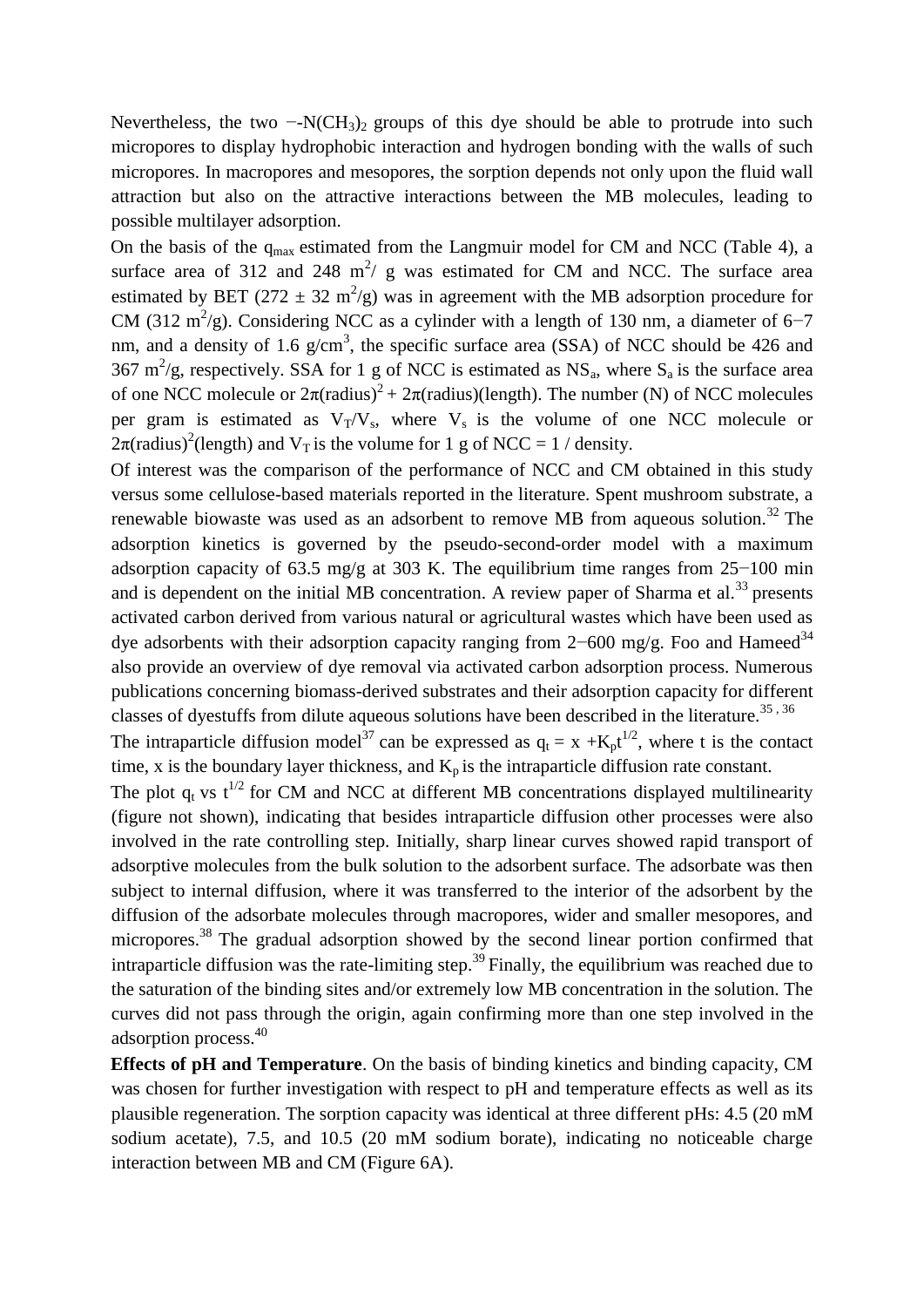Nevertheless, the two  $-N(CH_3)_2$  groups of this dye should be able to protrude into such micropores to display hydrophobic interaction and hydrogen bonding with the walls of such micropores. In macropores and mesopores, the sorption depends not only upon the fluid wall attraction but also on the attractive interactions between the MB molecules, leading to possible multilayer adsorption.

On the basis of the  $q_{max}$  estimated from the Langmuir model for CM and NCC (Table 4), a surface area of 312 and 248  $m^2$ / g was estimated for CM and NCC. The surface area estimated by BET (272  $\pm$  32 m<sup>2</sup>/g) was in agreement with the MB adsorption procedure for CM (312 m<sup>2</sup>/g). Considering NCC as a cylinder with a length of 130 nm, a diameter of 6–7 nm, and a density of 1.6  $g/cm<sup>3</sup>$ , the specific surface area (SSA) of NCC should be 426 and 367 m<sup>2</sup>/g, respectively. SSA for 1 g of NCC is estimated as NS<sub>a</sub>, where S<sub>a</sub> is the surface area of one NCC molecule or  $2\pi$ (radius)<sup>2</sup> +  $2\pi$ (radius)(length). The number (N) of NCC molecules per gram is estimated as  $V_T/V_s$ , where  $V_s$  is the volume of one NCC molecule or  $2\pi$ (radius)<sup>2</sup>(length) and V<sub>T</sub> is the volume for 1 g of NCC = 1 / density.

Of interest was the comparison of the performance of NCC and CM obtained in this study versus some cellulose-based materials reported in the literature. Spent mushroom substrate, a renewable biowaste was used as an adsorbent to remove MB from aqueous solution.<sup>32</sup> The adsorption kinetics is governed by the pseudo-second-order model with a maximum adsorption capacity of 63.5 mg/g at 303 K. The equilibrium time ranges from 25−100 min and is dependent on the initial MB concentration. A review paper of Sharma et al.<sup>33</sup> presents activated carbon derived from various natural or agricultural wastes which have been used as dye adsorbents with their adsorption capacity ranging from 2−600 mg/g. Foo and Hameed<sup>34</sup> also provide an overview of dye removal via activated carbon adsorption process. Numerous publications concerning biomass-derived substrates and their adsorption capacity for different classes of dyestuffs from dilute aqueous solutions have been described in the literature.<sup>35,36</sup>

The intraparticle diffusion model<sup>37</sup> can be expressed as  $q_t = x + K_p t^{1/2}$ , where t is the contact time, x is the boundary layer thickness, and  $K_p$  is the intraparticle diffusion rate constant.

The plot  $q_t$  vs  $t^{1/2}$  for CM and NCC at different MB concentrations displayed multilinearity (figure not shown), indicating that besides intraparticle diffusion other processes were also involved in the rate controlling step. Initially, sharp linear curves showed rapid transport of adsorptive molecules from the bulk solution to the adsorbent surface. The adsorbate was then subject to internal diffusion, where it was transferred to the interior of the adsorbent by the diffusion of the adsorbate molecules through macropores, wider and smaller mesopores, and micropores.<sup>38</sup> The gradual adsorption showed by the second linear portion confirmed that intraparticle diffusion was the rate-limiting step.<sup>39</sup> Finally, the equilibrium was reached due to the saturation of the binding sites and/or extremely low MB concentration in the solution. The curves did not pass through the origin, again confirming more than one step involved in the adsorption process.<sup>40</sup>

**Effects of pH and Temperature**. On the basis of binding kinetics and binding capacity, CM was chosen for further investigation with respect to pH and temperature effects as well as its plausible regeneration. The sorption capacity was identical at three different pHs: 4.5 (20 mM sodium acetate), 7.5, and 10.5 (20 mM sodium borate), indicating no noticeable charge interaction between MB and CM (Figure 6A).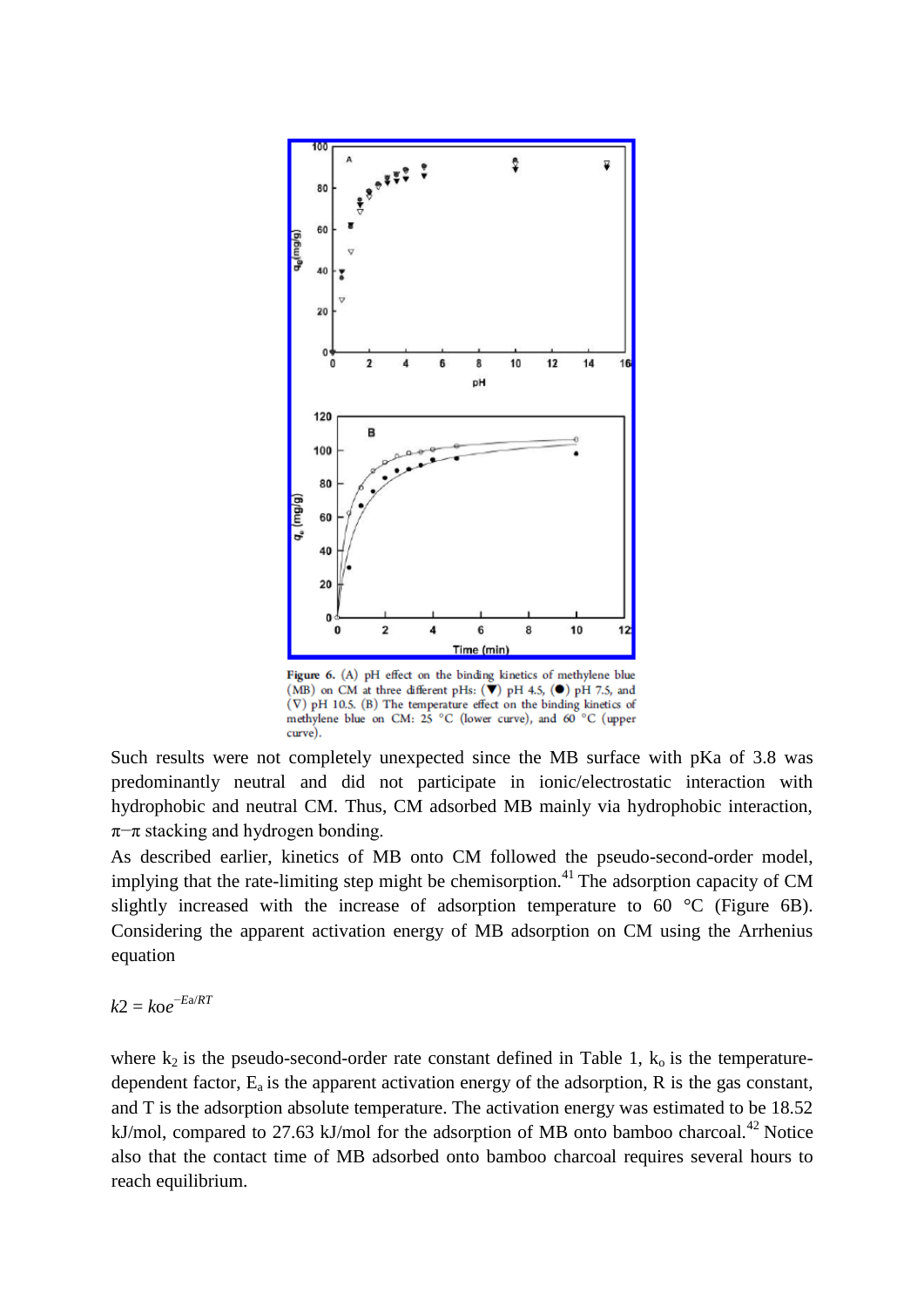

Figure 6. (A) pH effect on the binding kinetics of methylene blue (MB) on CM at three different pHs: (V) pH 4.5, (O) pH 7.5, and  $(\nabla)$  pH 10.5. (B) The temperature effect on the binding kinetics of methylene blue on CM: 25 °C (lower curve), and 60 °C (upper curve).

Such results were not completely unexpected since the MB surface with pKa of 3.8 was predominantly neutral and did not participate in ionic/electrostatic interaction with hydrophobic and neutral CM. Thus, CM adsorbed MB mainly via hydrophobic interaction, π−π stacking and hydrogen bonding.

As described earlier, kinetics of MB onto CM followed the pseudo-second-order model, implying that the rate-limiting step might be chemisorption.<sup>41</sup> The adsorption capacity of CM slightly increased with the increase of adsorption temperature to 60 °C (Figure 6B). Considering the apparent activation energy of MB adsorption on CM using the Arrhenius equation

 $k2 = k$ o $e^{-Ea/RT}$ 

where  $k_2$  is the pseudo-second-order rate constant defined in Table 1,  $k_0$  is the temperaturedependent factor,  $E_a$  is the apparent activation energy of the adsorption, R is the gas constant, and T is the adsorption absolute temperature. The activation energy was estimated to be 18.52 kJ/mol, compared to 27.63 kJ/mol for the adsorption of MB onto bamboo charcoal.<sup>42</sup> Notice also that the contact time of MB adsorbed onto bamboo charcoal requires several hours to reach equilibrium.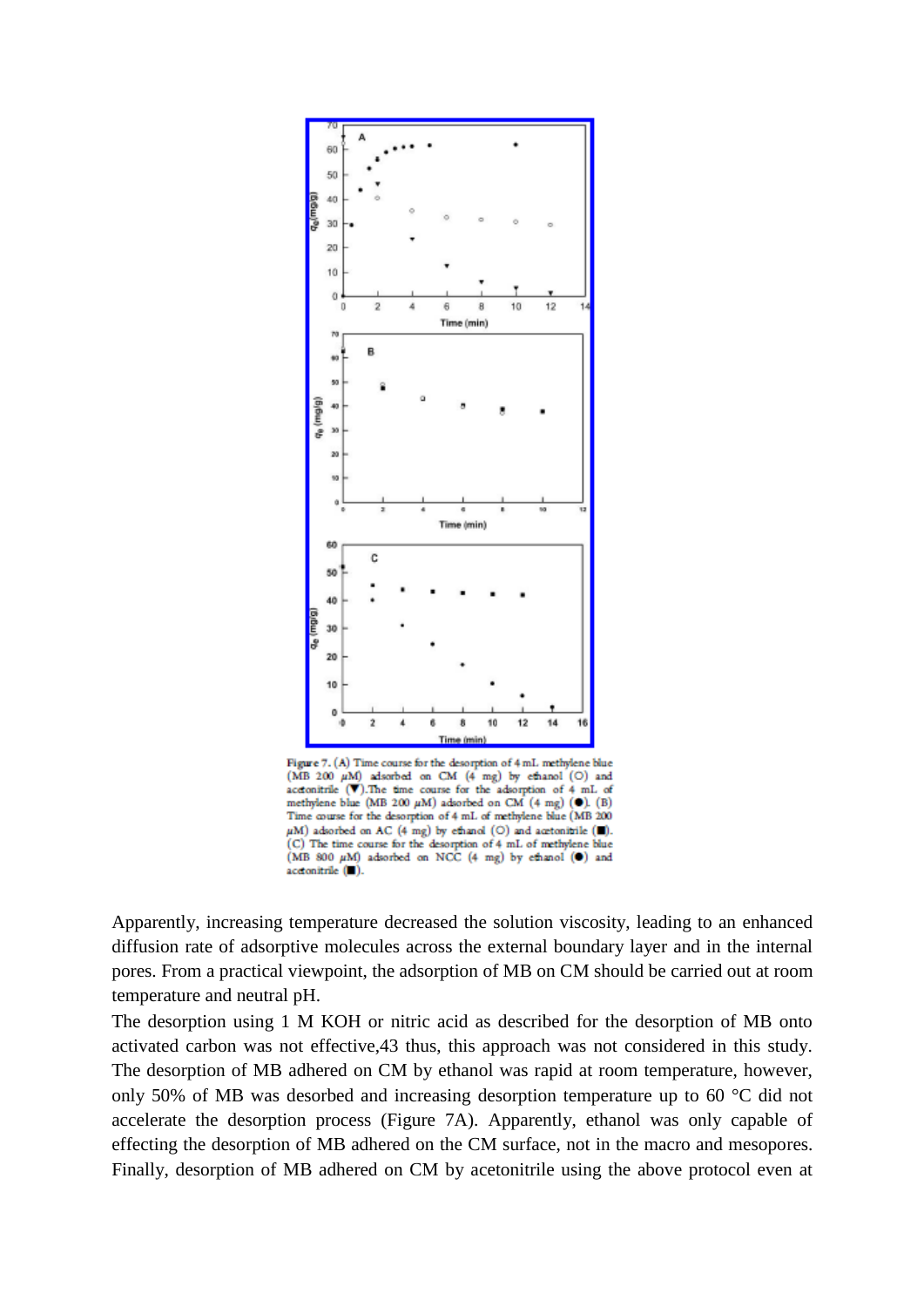

Figure 7. (A) Time course for the desorption of 4 mL methylene blue (MB 200  $\mu$ M) adsorbed on CM (4 mg) by ethanol (O) and acctonitrile (V). The time course for the adsorption of 4 mL of methylene blue (MB 200  $\mu$ M) adsorbed on CM (4 mg) ( $\bullet$ ). (B) Time course for the desorption of 4 mL of methylene blue (MB 200  $\mu$ M) adsorbed on AC (4 mg) by ethanol (O) and acetonitrile ( $\blacksquare$ ). (C) The time course for the desorption of 4 mL of methylene blue (MB 800  $\mu$ M) adsorbed on NCC (4 mg) by ethanol ( $\bullet$ ) and acctonitrile (III).

Apparently, increasing temperature decreased the solution viscosity, leading to an enhanced diffusion rate of adsorptive molecules across the external boundary layer and in the internal pores. From a practical viewpoint, the adsorption of MB on CM should be carried out at room temperature and neutral pH.

The desorption using 1 M KOH or nitric acid as described for the desorption of MB onto activated carbon was not effective,43 thus, this approach was not considered in this study. The desorption of MB adhered on CM by ethanol was rapid at room temperature, however, only 50% of MB was desorbed and increasing desorption temperature up to 60 °C did not accelerate the desorption process (Figure 7A). Apparently, ethanol was only capable of effecting the desorption of MB adhered on the CM surface, not in the macro and mesopores. Finally, desorption of MB adhered on CM by acetonitrile using the above protocol even at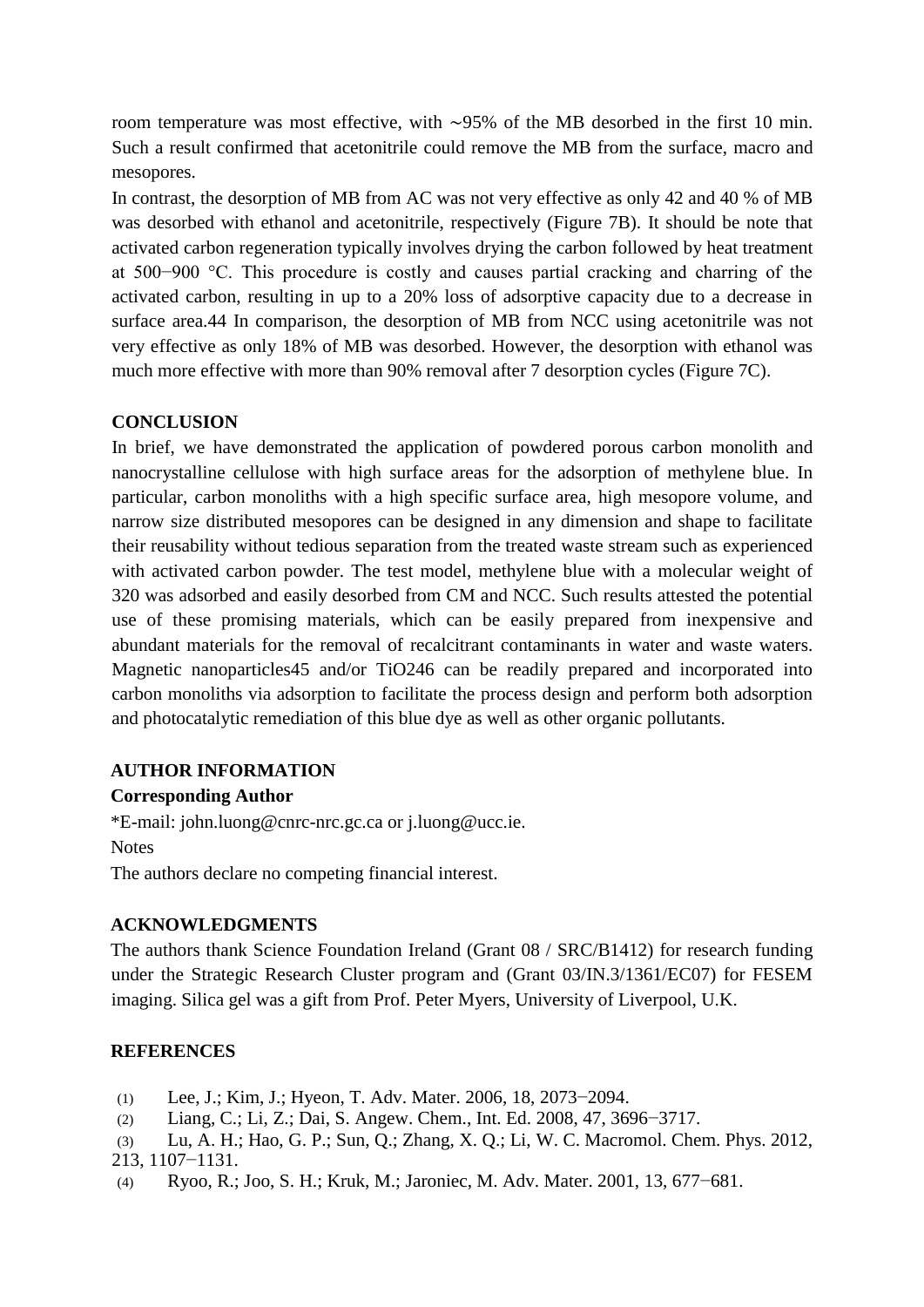room temperature was most effective, with ∼95% of the MB desorbed in the first 10 min. Such a result confirmed that acetonitrile could remove the MB from the surface, macro and mesopores.

In contrast, the desorption of MB from AC was not very effective as only 42 and 40 % of MB was desorbed with ethanol and acetonitrile, respectively (Figure 7B). It should be note that activated carbon regeneration typically involves drying the carbon followed by heat treatment at 500−900 °C. This procedure is costly and causes partial cracking and charring of the activated carbon, resulting in up to a 20% loss of adsorptive capacity due to a decrease in surface area.44 In comparison, the desorption of MB from NCC using acetonitrile was not very effective as only 18% of MB was desorbed. However, the desorption with ethanol was much more effective with more than 90% removal after 7 desorption cycles (Figure 7C).

# **CONCLUSION**

In brief, we have demonstrated the application of powdered porous carbon monolith and nanocrystalline cellulose with high surface areas for the adsorption of methylene blue. In particular, carbon monoliths with a high specific surface area, high mesopore volume, and narrow size distributed mesopores can be designed in any dimension and shape to facilitate their reusability without tedious separation from the treated waste stream such as experienced with activated carbon powder. The test model, methylene blue with a molecular weight of 320 was adsorbed and easily desorbed from CM and NCC. Such results attested the potential use of these promising materials, which can be easily prepared from inexpensive and abundant materials for the removal of recalcitrant contaminants in water and waste waters. Magnetic nanoparticles45 and/or TiO246 can be readily prepared and incorporated into carbon monoliths via adsorption to facilitate the process design and perform both adsorption and photocatalytic remediation of this blue dye as well as other organic pollutants.

## **AUTHOR INFORMATION**

## **Corresponding Author**

\*E-mail: john.luong@cnrc-nrc.gc.ca or j.luong@ucc.ie. **Notes** 

The authors declare no competing financial interest.

## **ACKNOWLEDGMENTS**

The authors thank Science Foundation Ireland (Grant 08 / SRC/B1412) for research funding under the Strategic Research Cluster program and (Grant 03/IN.3/1361/EC07) for FESEM imaging. Silica gel was a gift from Prof. Peter Myers, University of Liverpool, U.K.

## **REFERENCES**

- (1) Lee, J.; Kim, J.; Hyeon, T. Adv. Mater. 2006, 18, 2073−2094.
- (2) Liang, C.; Li, Z.; Dai, S. Angew. Chem., Int. Ed. 2008, 47, 3696−3717.
- (3) Lu, A. H.; Hao, G. P.; Sun, Q.; Zhang, X. Q.; Li, W. C. Macromol. Chem. Phys. 2012, 213, 1107−1131.
- (4) Ryoo, R.; Joo, S. H.; Kruk, M.; Jaroniec, M. Adv. Mater. 2001, 13, 677−681.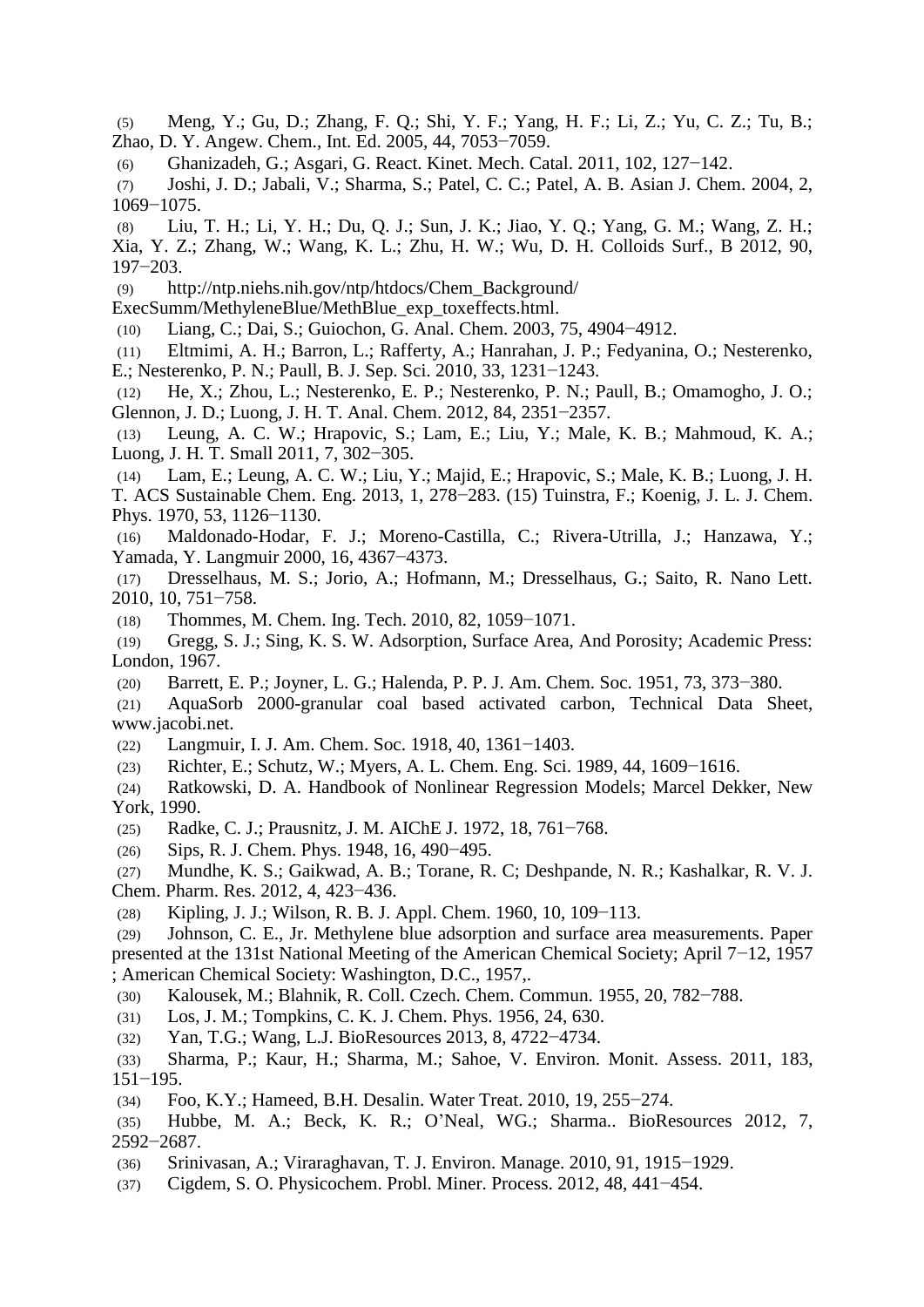(5) Meng, Y.; Gu, D.; Zhang, F. Q.; Shi, Y. F.; Yang, H. F.; Li, Z.; Yu, C. Z.; Tu, B.; Zhao, D. Y. Angew. Chem., Int. Ed. 2005, 44, 7053−7059.

(6) Ghanizadeh, G.; Asgari, G. React. Kinet. Mech. Catal. 2011, 102, 127−142.

(7) Joshi, J. D.; Jabali, V.; Sharma, S.; Patel, C. C.; Patel, A. B. Asian J. Chem. 2004, 2, 1069−1075.

(8) Liu, T. H.; Li, Y. H.; Du, Q. J.; Sun, J. K.; Jiao, Y. Q.; Yang, G. M.; Wang, Z. H.; Xia, Y. Z.; Zhang, W.; Wang, K. L.; Zhu, H. W.; Wu, D. H. Colloids Surf., B 2012, 90, 197−203.

(9) [http://ntp.niehs.nih.gov/ntp/htdocs/Chem\\_Background/](http://ntp.niehs.nih.gov/ntp/htdocs/Chem_Background/ExecSumm/MethyleneBlue/MethBlue_exp_toxeffects.html) 

[ExecSumm/MethyleneBlue/MethBlue\\_exp\\_toxeffects.html.](http://ntp.niehs.nih.gov/ntp/htdocs/Chem_Background/ExecSumm/MethyleneBlue/MethBlue_exp_toxeffects.html)

(10) Liang, C.; Dai, S.; Guiochon, G. Anal. Chem. 2003, 75, 4904−4912.

(11) Eltmimi, A. H.; Barron, L.; Rafferty, A.; Hanrahan, J. P.; Fedyanina, O.; Nesterenko, E.; Nesterenko, P. N.; Paull, B. J. Sep. Sci. 2010, 33, 1231−1243.

(12) He, X.; Zhou, L.; Nesterenko, E. P.; Nesterenko, P. N.; Paull, B.; Omamogho, J. O.; Glennon, J. D.; Luong, J. H. T. Anal. Chem. 2012, 84, 2351−2357.

(13) Leung, A. C. W.; Hrapovic, S.; Lam, E.; Liu, Y.; Male, K. B.; Mahmoud, K. A.; Luong, J. H. T. Small 2011, 7, 302−305.

(14) Lam, E.; Leung, A. C. W.; Liu, Y.; Majid, E.; Hrapovic, S.; Male, K. B.; Luong, J. H. T. ACS Sustainable Chem. Eng. 2013, 1, 278−283. (15) Tuinstra, F.; Koenig, J. L. J. Chem. Phys. 1970, 53, 1126−1130.

(16) Maldonado-Hodar, F. J.; Moreno-Castilla, C.; Rivera-Utrilla, J.; Hanzawa, Y.; Yamada, Y. Langmuir 2000, 16, 4367−4373.

(17) Dresselhaus, M. S.; Jorio, A.; Hofmann, M.; Dresselhaus, G.; Saito, R. Nano Lett. 2010, 10, 751−758.

(18) Thommes, M. Chem. Ing. Tech. 2010, 82, 1059−1071.

(19) Gregg, S. J.; Sing, K. S. W. Adsorption, Surface Area, And Porosity; Academic Press: London, 1967.

(20) Barrett, E. P.; Joyner, L. G.; Halenda, P. P. J. Am. Chem. Soc. 1951, 73, 373−380.

(21) AquaSorb 2000-granular coal based activated carbon, Technical Data Sheet, www.jacobi.net.

- (22) Langmuir, I. J. Am. Chem. Soc. 1918, 40, 1361−1403.
- (23) Richter, E.; Schutz, W.; Myers, A. L. Chem. Eng. Sci. 1989, 44, 1609−1616.

(24) Ratkowski, D. A. Handbook of Nonlinear Regression Models; Marcel Dekker, New York, 1990.

- (25) Radke, C. J.; Prausnitz, J. M. AIChE J. 1972, 18, 761−768.
- (26) Sips, R. J. Chem. Phys. 1948, 16, 490−495.

(27) Mundhe, K. S.; Gaikwad, A. B.; Torane, R. C; Deshpande, N. R.; Kashalkar, R. V. J. Chem. Pharm. Res. 2012, 4, 423−436.

(28) Kipling, J. J.; Wilson, R. B. J. Appl. Chem. 1960, 10, 109−113.

(29) Johnson, C. E., Jr. Methylene blue adsorption and surface area measurements. Paper presented at the 131st National Meeting of the American Chemical Society; April 7−12, 1957 ; American Chemical Society: Washington, D.C., 1957,.

- (30) Kalousek, M.; Blahnik, R. Coll. Czech. Chem. Commun. 1955, 20, 782−788.
- (31) Los, J. M.; Tompkins, C. K. J. Chem. Phys. 1956, 24, 630.
- (32) Yan, T.G.; Wang, L.J. BioResources 2013, 8, 4722−4734.
- (33) Sharma, P.; Kaur, H.; Sharma, M.; Sahoe, V. Environ. Monit. Assess. 2011, 183, 151−195.
- (34) Foo, K.Y.; Hameed, B.H. Desalin. Water Treat. 2010, 19, 255−274.
- (35) Hubbe, M. A.; Beck, K. R.; O'Neal, WG.; Sharma.. BioResources 2012, 7, 2592−2687.
- (36) Srinivasan, A.; Viraraghavan, T. J. Environ. Manage. 2010, 91, 1915−1929.
- (37) Cigdem, S. O. Physicochem. Probl. Miner. Process. 2012, 48, 441−454.